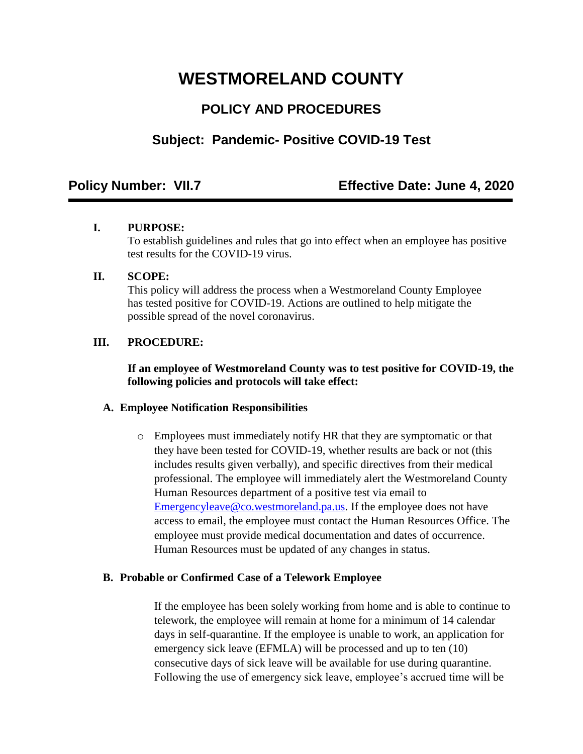# **WESTMORELAND COUNTY**

# **POLICY AND PROCEDURES**

## **Subject: Pandemic- Positive COVID-19 Test**

### **Policy Number: VII.7 Effective Date: June 4, 2020**

#### **I. PURPOSE:**

To establish guidelines and rules that go into effect when an employee has positive test results for the COVID-19 virus.

#### **II. SCOPE:**

This policy will address the process when a Westmoreland County Employee has tested positive for COVID-19. Actions are outlined to help mitigate the possible spread of the novel coronavirus.

#### **III. PROCEDURE:**

#### **If an employee of Westmoreland County was to test positive for COVID-19, the following policies and protocols will take effect:**

#### **A. Employee Notification Responsibilities**

o Employees must immediately notify HR that they are symptomatic or that they have been tested for COVID-19, whether results are back or not (this includes results given verbally), and specific directives from their medical professional. The employee will immediately alert the Westmoreland County Human Resources department of a positive test via email to [Emergencyleave@co.westmoreland.pa.us.](mailto:Emergencyleave@co.westmoreland.pa.us) If the employee does not have access to email, the employee must contact the Human Resources Office. The employee must provide medical documentation and dates of occurrence. Human Resources must be updated of any changes in status.

#### **B. Probable or Confirmed Case of a Telework Employee**

If the employee has been solely working from home and is able to continue to telework, the employee will remain at home for a minimum of 14 calendar days in self-quarantine. If the employee is unable to work, an application for emergency sick leave (EFMLA) will be processed and up to ten (10) consecutive days of sick leave will be available for use during quarantine. Following the use of emergency sick leave, employee's accrued time will be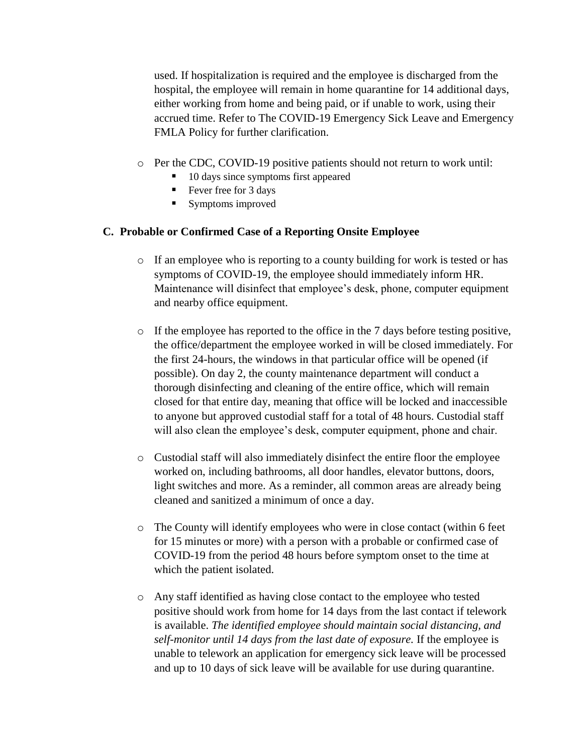used. If hospitalization is required and the employee is discharged from the hospital, the employee will remain in home quarantine for 14 additional days, either working from home and being paid, or if unable to work, using their accrued time. Refer to The COVID-19 Emergency Sick Leave and Emergency FMLA Policy for further clarification.

- o Per the CDC, COVID-19 positive patients should not return to work until:
	- 10 days since symptoms first appeared
	- $\blacksquare$  Fever free for 3 days
	- Symptoms improved

#### **C. Probable or Confirmed Case of a Reporting Onsite Employee**

- $\circ$  If an employee who is reporting to a county building for work is tested or has symptoms of COVID-19, the employee should immediately inform HR. Maintenance will disinfect that employee's desk, phone, computer equipment and nearby office equipment.
- $\circ$  If the employee has reported to the office in the 7 days before testing positive, the office/department the employee worked in will be closed immediately. For the first 24-hours, the windows in that particular office will be opened (if possible). On day 2, the county maintenance department will conduct a thorough disinfecting and cleaning of the entire office, which will remain closed for that entire day, meaning that office will be locked and inaccessible to anyone but approved custodial staff for a total of 48 hours. Custodial staff will also clean the employee's desk, computer equipment, phone and chair.
- o Custodial staff will also immediately disinfect the entire floor the employee worked on, including bathrooms, all door handles, elevator buttons, doors, light switches and more. As a reminder, all common areas are already being cleaned and sanitized a minimum of once a day.
- $\circ$  The County will identify employees who were in close contact (within 6 feet for 15 minutes or more) with a person with a probable or confirmed case of COVID-19 from the period 48 hours before symptom onset to the time at which the patient isolated.
- o Any staff identified as having close contact to the employee who tested positive should work from home for 14 days from the last contact if telework is available. *The identified employee should maintain social distancing, and self-monitor until 14 days from the last date of exposure.* If the employee is unable to telework an application for emergency sick leave will be processed and up to 10 days of sick leave will be available for use during quarantine.